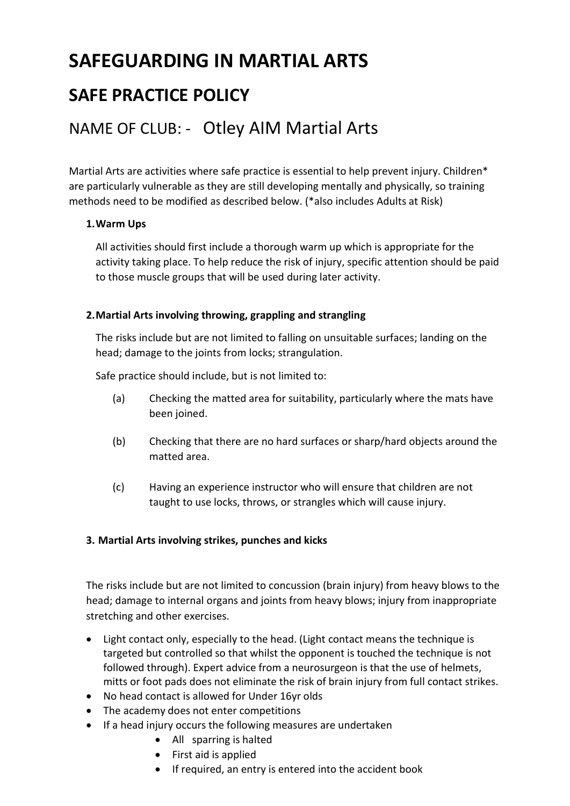# SAFEGUARDING IN MARTIAL ARTS

# SAFE PRACTICE POLICY

# NAME OF CLUB: - Otley AIM Martial Arts

Martial Arts are activities where safe practice is essential to help prevent injury. Children\* are particularly vulnerable as they are still developing mentally and physically, so training methods need to be modified as described below. (\*also includes Adults at Risk)

#### 1.Warm Ups

All activities should first include a thorough warm up which is appropriate for the activity taking place. To help reduce the risk of injury, specific attention should be paid to those muscle groups that will be used during later activity.

#### 2.Martial Arts involving throwing, grappling and strangling

The risks include but are not limited to falling on unsuitable surfaces; landing on the head; damage to the joints from locks; strangulation.

Safe practice should include, but is not limited to:

- (a) Checking the matted area for suitability, particularly where the mats have been joined.
- (b) Checking that there are no hard surfaces or sharp/hard objects around the matted area.
- (c) Having an experience instructor who will ensure that children are not taught to use locks, throws, or strangles which will cause injury.

## 3. Martial Arts involving strikes, punches and kicks

The risks include but are not limited to concussion (brain injury) from heavy blows to the head; damage to internal organs and joints from heavy blows; injury from inappropriate stretching and other exercises.

- Light contact only, especially to the head. (Light contact means the technique is targeted but controlled so that whilst the opponent is touched the technique is not followed through). Expert advice from a neurosurgeon is that the use of helmets, mitts or foot pads does not eliminate the risk of brain injury from full contact strikes.
- No head contact is allowed for Under 16yr olds
- The academy does not enter competitions
- If a head injury occurs the following measures are undertaken
	- All sparring is halted
	- First aid is applied
	- If required, an entry is entered into the accident book